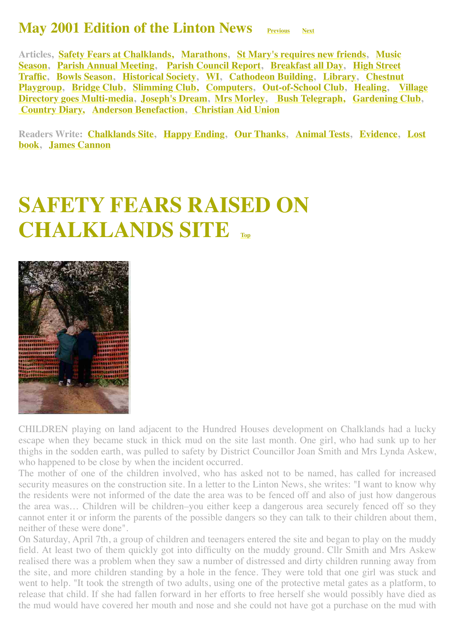#### **May 2001 Edition of the Linton News [Previous](http://www.linton.info/lintonnews/0104.html)** [Next](http://www.linton.info/lintonnews/0106.html)

<span id="page-0-1"></span>**[Articles, Safety Fears at Chalklands, Marathons, St Mary](#page-2-0)['](#page-0-0)[s requires new friends, Music](#page-2-0) Season, [Parish Annual Meeting](#page-2-1), [Parish Council Report](#page-3-0), [Breakfast all Day](#page-3-1), High Street [Traffic, Bowls Season, Historical Society, WI, Cathodeon Building, Library, Chestnu](#page-3-2)[t](#page-9-1) [Playgroup, Bridge Club, Slimming Club, Computers, Out-of-School Club, Healing, Village](#page-11-1) Directory goes Multi-media, [Joseph's Dream](http://www.linton.info/lintonnews/0105.html#JOSEPH%E2%80%99S%20DREAM), [Mrs Morley,](#page-13-0) [Bush Telegraph,](#page-13-1) [Gardening Club,](#page-13-2)  [Country Diary,](#page-14-0) [Anderson Benefaction,](#page-14-1) [Christian Aid Union](#page-15-0)**

**[Readers Write: Chalklands Site, Happy Ending, Our Thanks, Animal Tests, Evidence, Lost](#page-8-1) book, [James Cannon](#page-8-2)**

## <span id="page-0-0"></span>**SAFETY FEARS RAISED ON CHALKLANDS SITE [Top](#page-0-1)**



CHILDREN playing on land adjacent to the Hundred Houses development on Chalklands had a lucky escape when they became stuck in thick mud on the site last month. One girl, who had sunk up to her thighs in the sodden earth, was pulled to safety by District Councillor Joan Smith and Mrs Lynda Askew, who happened to be close by when the incident occurred.

The mother of one of the children involved, who has asked not to be named, has called for increased security measures on the construction site. In a letter to the Linton News, she writes: "I want to know why the residents were not informed of the date the area was to be fenced off and also of just how dangerous the area was… Children will be children–you either keep a dangerous area securely fenced off so they cannot enter it or inform the parents of the possible dangers so they can talk to their children about them, neither of these were done".

On Saturday, April 7th, a group of children and teenagers entered the site and began to play on the muddy field. At least two of them quickly got into difficulty on the muddy ground. Cllr Smith and Mrs Askew realised there was a problem when they saw a number of distressed and dirty children running away from the site, and more children standing by a hole in the fence. They were told that one girl was stuck and went to help. "It took the strength of two adults, using one of the protective metal gates as a platform, to release that child. If she had fallen forward in her efforts to free herself she would possibly have died as the mud would have covered her mouth and nose and she could not have got a purchase on the mud with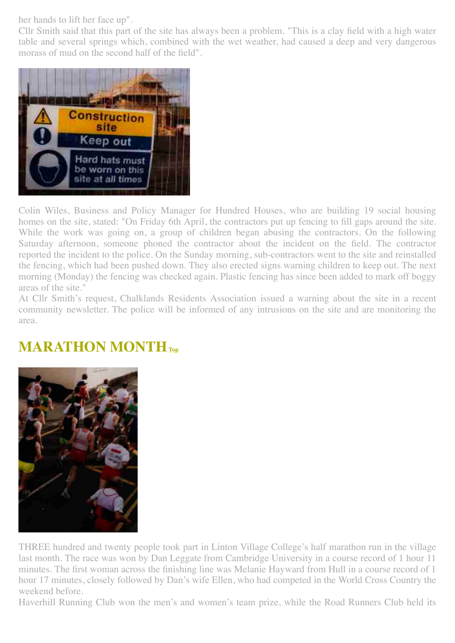her hands to lift her face up".

Cllr Smith said that this part of the site has always been a problem. "This is a clay field with a high water table and several springs which, combined with the wet weather, had caused a deep and very dangerous morass of mud on the second half of the field".



Colin Wiles, Business and Policy Manager for Hundred Houses, who are building 19 social housing homes on the site, stated: "On Friday 6th April, the contractors put up fencing to fill gaps around the site. While the work was going on, a group of children began abusing the contractors. On the following Saturday afternoon, someone phoned the contractor about the incident on the field. The contractor reported the incident to the police. On the Sunday morning, sub-contractors went to the site and reinstalled the fencing, which had been pushed down. They also erected signs warning children to keep out. The next morning (Monday) the fencing was checked again. Plastic fencing has since been added to mark off boggy areas of the site."

At Cllr Smith's request, Chalklands Residents Association issued a warning about the site in a recent community newsletter. The police will be informed of any intrusions on the site and are monitoring the area.

#### <span id="page-1-0"></span>**MARATHON MONTH[Top](#page-0-1)**



THREE hundred and twenty people took part in Linton Village College's half marathon run in the village last month. The race was won by Dan Leggate from Cambridge University in a course record of 1 hour 11 minutes. The first woman across the finishing line was Melanie Hayward from Hull in a course record of 1 hour 17 minutes, closely followed by Dan's wife Ellen, who had competed in the World Cross Country the weekend before.

Haverhill Running Club won the men's and women's team prize, while the Road Runners Club held its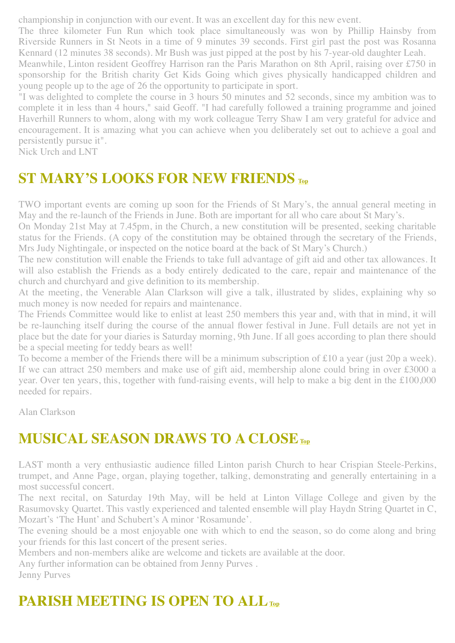championship in conjunction with our event. It was an excellent day for this new event.

The three kilometer Fun Run which took place simultaneously was won by Phillip Hainsby from Riverside Runners in St Neots in a time of 9 minutes 39 seconds. First girl past the post was Rosanna Kennard (12 minutes 38 seconds). Mr Bush was just pipped at the post by his 7-year-old daughter Leah.

Meanwhile, Linton resident Geoffrey Harrison ran the Paris Marathon on 8th April, raising over £750 in sponsorship for the British charity Get Kids Going which gives physically handicapped children and young people up to the age of 26 the opportunity to participate in sport.

"I was delighted to complete the course in 3 hours 50 minutes and 52 seconds, since my ambition was to complete it in less than 4 hours," said Geoff. "I had carefully followed a training programme and joined Haverhill Runners to whom, along with my work colleague Terry Shaw I am very grateful for advice and encouragement. It is amazing what you can achieve when you deliberately set out to achieve a goal and persistently pursue it".

Nick Urch and LNT

#### **ST MARY'S LOOKS FOR NEW FRIENDS [Top](#page-0-1)**

TWO important events are coming up soon for the Friends of St Mary's, the annual general meeting in May and the re-launch of the Friends in June. Both are important for all who care about St Mary's.

On Monday 21st May at 7.45pm, in the Church, a new constitution will be presented, seeking charitable status for the Friends. (A copy of the constitution may be obtained through the secretary of the Friends, Mrs Judy Nightingale, or inspected on the notice board at the back of St Mary's Church.)

The new constitution will enable the Friends to take full advantage of gift aid and other tax allowances. It will also establish the Friends as a body entirely dedicated to the care, repair and maintenance of the church and churchyard and give definition to its membership.

At the meeting, the Venerable Alan Clarkson will give a talk, illustrated by slides, explaining why so much money is now needed for repairs and maintenance.

The Friends Committee would like to enlist at least 250 members this year and, with that in mind, it will be re-launching itself during the course of the annual flower festival in June. Full details are not yet in place but the date for your diaries is Saturday morning, 9th June. If all goes according to plan there should be a special meeting for teddy bears as well!

To become a member of the Friends there will be a minimum subscription of £10 a year (just 20p a week). If we can attract 250 members and make use of gift aid, membership alone could bring in over £3000 a year. Over ten years, this, together with fund-raising events, will help to make a big dent in the £100,000 needed for repairs.

Alan Clarkson

#### <span id="page-2-0"></span>**MUSICAL SEASON DRAWS TO A CLOSE[Top](#page-0-1)**

LAST month a very enthusiastic audience filled Linton parish Church to hear Crispian Steele-Perkins, trumpet, and Anne Page, organ, playing together, talking, demonstrating and generally entertaining in a most successful concert.

The next recital, on Saturday 19th May, will be held at Linton Village College and given by the Rasumovsky Quartet. This vastly experienced and talented ensemble will play Haydn String Quartet in C, Mozart's 'The Hunt' and Schubert's A minor 'Rosamunde'.

The evening should be a most enjoyable one with which to end the season, so do come along and bring your friends for this last concert of the present series.

Members and non-members alike are welcome and tickets are available at the door.

Any further information can be obtained from Jenny Purves . Jenny Purves

## <span id="page-2-1"></span>**PARISH MEETING IS OPEN TO ALL**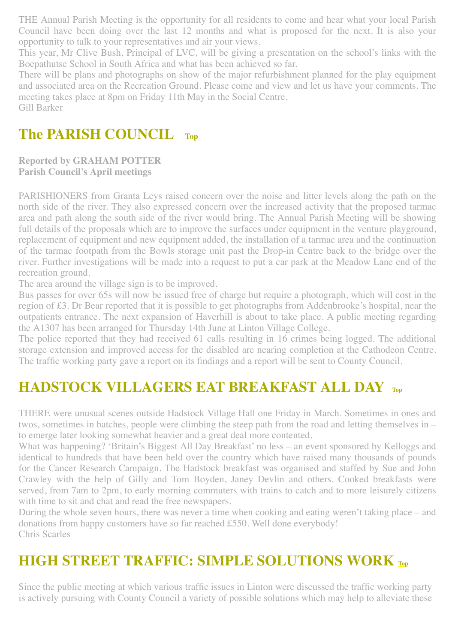THE Annual Parish Meeting is the opportunity for all residents to come and hear what your local Parish Council have been doing over the last 12 months and what is proposed for the next. It is also your opportunity to talk to your representatives and air your views.

This year, Mr Clive Bush, Principal of LVC, will be giving a presentation on the school's links with the Boepathutse School in South Africa and what has been achieved so far.

There will be plans and photographs on show of the major refurbishment planned for the play equipment and associated area on the Recreation Ground. Please come and view and let us have your comments. The meeting takes place at 8pm on Friday 11th May in the Social Centre. Gill Barker

#### <span id="page-3-0"></span>**The PARISH COUNCIL [Top](#page-0-1)**

**Reported by GRAHAM POTTER Parish Council's April meetings**

PARISHIONERS from Granta Leys raised concern over the noise and litter levels along the path on the north side of the river. They also expressed concern over the increased activity that the proposed tarmac area and path along the south side of the river would bring. The Annual Parish Meeting will be showing full details of the proposals which are to improve the surfaces under equipment in the venture playground, replacement of equipment and new equipment added, the installation of a tarmac area and the continuation of the tarmac footpath from the Bowls storage unit past the Drop-in Centre back to the bridge over the river. Further investigations will be made into a request to put a car park at the Meadow Lane end of the recreation ground.

The area around the village sign is to be improved.

Bus passes for over 65s will now be issued free of charge but require a photograph, which will cost in the region of £3. Dr Bear reported that it is possible to get photographs from Addenbrooke's hospital, near the outpatients entrance. The next expansion of Haverhill is about to take place. A public meeting regarding the A1307 has been arranged for Thursday 14th June at Linton Village College.

The police reported that they had received 61 calls resulting in 16 crimes being logged. The additional storage extension and improved access for the disabled are nearing completion at the Cathodeon Centre. The traffic working party gave a report on its findings and a report will be sent to County Council.

#### <span id="page-3-1"></span>**HADSTOCK VILLAGERS EAT BREAKFAST ALL DAY [Top](#page-0-1)**

THERE were unusual scenes outside Hadstock Village Hall one Friday in March. Sometimes in ones and twos, sometimes in batches, people were climbing the steep path from the road and letting themselves in – to emerge later looking somewhat heavier and a great deal more contented.

What was happening? 'Britain's Biggest All Day Breakfast' no less – an event sponsored by Kelloggs and identical to hundreds that have been held over the country which have raised many thousands of pounds for the Cancer Research Campaign. The Hadstock breakfast was organised and staffed by Sue and John Crawley with the help of Gilly and Tom Boyden, Janey Devlin and others. Cooked breakfasts were served, from 7am to 2pm, to early morning commuters with trains to catch and to more leisurely citizens with time to sit and chat and read the free newspapers.

During the whole seven hours, there was never a time when cooking and eating weren't taking place – and donations from happy customers have so far reached £550. Well done everybody! Chris Scarles

#### <span id="page-3-2"></span>**HIGH STREET TRAFFIC: SIMPLE SOLUTIONS WORK [Top](#page-0-1)**

Since the public meeting at which various traffic issues in Linton were discussed the traffic working party is actively pursuing with County Council a variety of possible solutions which may help to alleviate these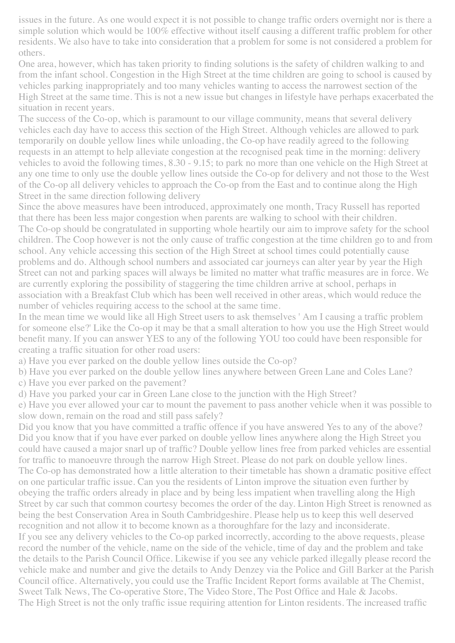issues in the future. As one would expect it is not possible to change traffic orders overnight nor is there a simple solution which would be 100% effective without itself causing a different traffic problem for other residents. We also have to take into consideration that a problem for some is not considered a problem for others.

One area, however, which has taken priority to finding solutions is the safety of children walking to and from the infant school. Congestion in the High Street at the time children are going to school is caused by vehicles parking inappropriately and too many vehicles wanting to access the narrowest section of the High Street at the same time. This is not a new issue but changes in lifestyle have perhaps exacerbated the situation in recent years.

The success of the Co-op, which is paramount to our village community, means that several delivery vehicles each day have to access this section of the High Street. Although vehicles are allowed to park temporarily on double yellow lines while unloading, the Co-op have readily agreed to the following requests in an attempt to help alleviate congestion at the recognised peak time in the morning: delivery vehicles to avoid the following times, 8.30 - 9.15; to park no more than one vehicle on the High Street at any one time to only use the double yellow lines outside the Co-op for delivery and not those to the West of the Co-op all delivery vehicles to approach the Co-op from the East and to continue along the High Street in the same direction following delivery

Since the above measures have been introduced, approximately one month, Tracy Russell has reported that there has been less major congestion when parents are walking to school with their children. The Co-op should be congratulated in supporting whole heartily our aim to improve safety for the school children. The Coop however is not the only cause of traffic congestion at the time children go to and from school. Any vehicle accessing this section of the High Street at school times could potentially cause problems and do. Although school numbers and associated car journeys can alter year by year the High Street can not and parking spaces will always be limited no matter what traffic measures are in force. We are currently exploring the possibility of staggering the time children arrive at school, perhaps in association with a Breakfast Club which has been well received in other areas, which would reduce the number of vehicles requiring access to the school at the same time.

In the mean time we would like all High Street users to ask themselves ' Am I causing a traffic problem for someone else?' Like the Co-op it may be that a small alteration to how you use the High Street would benefit many. If you can answer YES to any of the following YOU too could have been responsible for creating a traffic situation for other road users:

a) Have you ever parked on the double yellow lines outside the Co-op?

b) Have you ever parked on the double yellow lines anywhere between Green Lane and Coles Lane?

c) Have you ever parked on the pavement?

d) Have you parked your car in Green Lane close to the junction with the High Street?

e) Have you ever allowed your car to mount the pavement to pass another vehicle when it was possible to slow down, remain on the road and still pass safely?

Did you know that you have committed a traffic offence if you have answered Yes to any of the above? Did you know that if you have ever parked on double yellow lines anywhere along the High Street you could have caused a major snarl up of traffic? Double yellow lines free from parked vehicles are essential for traffic to manoeuvre through the narrow High Street. Please do not park on double yellow lines. The Co-op has demonstrated how a little alteration to their timetable has shown a dramatic positive effect on one particular traffic issue. Can you the residents of Linton improve the situation even further by obeying the traffic orders already in place and by being less impatient when travelling along the High Street by car such that common courtesy becomes the order of the day. Linton High Street is renowned as being the best Conservation Area in South Cambridgeshire. Please help us to keep this well deserved recognition and not allow it to become known as a thoroughfare for the lazy and inconsiderate. If you see any delivery vehicles to the Co-op parked incorrectly, according to the above requests, please record the number of the vehicle, name on the side of the vehicle, time of day and the problem and take the details to the Parish Council Office. Likewise if you see any vehicle parked illegally please record the vehicle make and number and give the details to Andy Denzey via the Police and Gill Barker at the Parish Council office. Alternatively, you could use the Traffic Incident Report forms available at The Chemist, Sweet Talk News, The Co-operative Store, The Video Store, The Post Office and Hale & Jacobs. The High Street is not the only traffic issue requiring attention for Linton residents. The increased traffic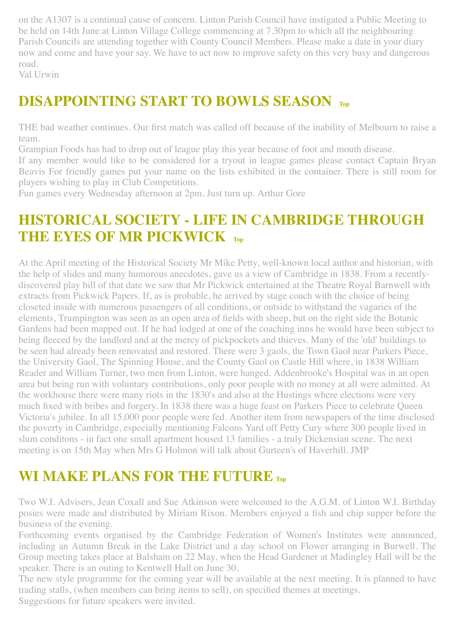on the A1307 is a continual cause of concern. Linton Parish Council have instigated a Public Meeting to be held on 14th June at Linton Village College commencing at 7.30pm to which all the neighbouring Parish Councils are attending together with County Council Members. Please make a date in your diary now and come and have your say. We have to act now to improve safety on this very busy and dangerous road.

Val Urwin

#### <span id="page-5-0"></span>**DISAPPOINTING START TO BOWLS SEASON [Top](#page-0-1)**

THE bad weather continues. Our first match was called off because of the inability of Melbourn to raise a team.

Grampian Foods has had to drop out of league play this year because of foot and mouth disease.

If any member would like to be considered for a tryout in league games please contact Captain Bryan Beavis For friendly games put your name on the lists exhibited in the container. There is still room for players wishing to play in Club Competitions.

Fun games every Wednesday afternoon at 2pm. Just turn up. Arthur Gore

#### <span id="page-5-1"></span>**HISTORICAL SOCIETY - LIFE IN CAMBRIDGE THROUGH THE EYES OF MR PICKWICK [Top](#page-0-1)**

At the April meeting of the Historical Society Mr Mike Petty, well-known local author and historian, with the help of slides and many humorous anecdotes, gave us a view of Cambridge in 1838. From a recentlydiscovered play bill of that date we saw that Mr Pickwick entertained at the Theatre Royal Barnwell with extracts from Pickwick Papers. If, as is probable, he arrived by stage coach with the choice of being closeted inside with numerous passengers of all conditions, or outside to withstand the vagaries of the elements, Trumpington was seen as an open area of fields with sheep, but on the right side the Botanic Gardens had been mapped out. If he had lodged at one of the coaching inns he would have been subject to being fleeced by the landlord and at the mercy of pickpockets and thieves. Many of the 'old' buildings to be seen had already been renovated and restored. There were 3 gaols, the Town Gaol near Parkers Piece, the University Gaol, The Spinning House, and the County Gaol on Castle Hill where, in 1838 William Reader and William Turner, two men from Linton, were hanged. Addenbrooke's Hospital was in an open area but being run with voluntary contributions, only poor people with no money at all were admitted. At the workhouse there were many riots in the 1830's and also at the Hustings where elections were very much fixed with bribes and forgery. In 1838 there was a huge feast on Parkers Piece to celebrate Queen Victoria's jubilee. In all 15,000 poor people were fed. Another item from newspapers of the time disclosed the poverty in Cambridge, especially mentioning Falcons Yard off Petty Cury where 300 people lived in slum conditons - in fact one small apartment housed 13 families - a truly Dickensian scene. The next meeting is on 15th May when Mrs G Holmon will talk about Gurteen's of Haverhill. JMP

#### <span id="page-5-2"></span>**WI MAKE PLANS FOR THE FUTURE [Top](#page-0-1)**

Two W.I. Advisers, Jean Coxall and Sue Atkinson were welcomed to the A.G.M. of Linton W.I. Birthday posies were made and distributed by Miriam Rixon. Members enjoyed a fish and chip supper before the business of the evening.

Forthcoming events organised by the Cambridge Federation of Women's Institutes were announced, including an Autumn Break in the Lake District and a day school on Flower arranging in Burwell. The Group meeting takes place at Balsham on 22 May, when the Head Gardener at Madingley Hall will be the speaker. There is an outing to Kentwell Hall on June 30.

The new style programme for the coming year will be available at the next meeting. It is planned to have trading stalls, (when members can bring items to sell), on specified themes at meetings. Suggestions for future speakers were invited.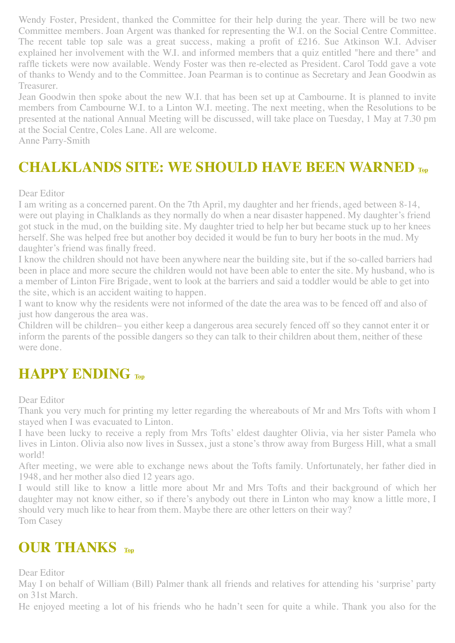Wendy Foster, President, thanked the Committee for their help during the year. There will be two new Committee members. Joan Argent was thanked for representing the W.I. on the Social Centre Committee. The recent table top sale was a great success, making a profit of £216. Sue Atkinson W.I. Adviser explained her involvement with the W.I. and informed members that a quiz entitled "here and there" and raffle tickets were now available. Wendy Foster was then re-elected as President. Carol Todd gave a vote of thanks to Wendy and to the Committee. Joan Pearman is to continue as Secretary and Jean Goodwin as Treasurer.

Jean Goodwin then spoke about the new W.I. that has been set up at Cambourne. It is planned to invite members from Cambourne W.I. to a Linton W.I. meeting. The next meeting, when the Resolutions to be presented at the national Annual Meeting will be discussed, will take place on Tuesday, 1 May at 7.30 pm at the Social Centre, Coles Lane. All are welcome.

Anne Parry-Smith

#### <span id="page-6-0"></span>**CHALKLANDS SITE: WE SHOULD HAVE BEEN WARNED [Top](#page-0-1)**

#### Dear Editor

I am writing as a concerned parent. On the 7th April, my daughter and her friends, aged between 8-14, were out playing in Chalklands as they normally do when a near disaster happened. My daughter's friend got stuck in the mud, on the building site. My daughter tried to help her but became stuck up to her knees herself. She was helped free but another boy decided it would be fun to bury her boots in the mud. My daughter's friend was finally freed.

I know the children should not have been anywhere near the building site, but if the so-called barriers had been in place and more secure the children would not have been able to enter the site. My husband, who is a member of Linton Fire Brigade, went to look at the barriers and said a toddler would be able to get into the site, which is an accident waiting to happen.

I want to know why the residents were not informed of the date the area was to be fenced off and also of just how dangerous the area was.

Children will be children– you either keep a dangerous area securely fenced off so they cannot enter it or inform the parents of the possible dangers so they can talk to their children about them, neither of these were done.

#### <span id="page-6-1"></span>**HAPPY ENDING [Top](#page-0-1)**

Dear Editor

Thank you very much for printing my letter regarding the whereabouts of Mr and Mrs Tofts with whom I stayed when I was evacuated to Linton.

I have been lucky to receive a reply from Mrs Tofts' eldest daughter Olivia, via her sister Pamela who lives in Linton. Olivia also now lives in Sussex, just a stone's throw away from Burgess Hill, what a small world!

After meeting, we were able to exchange news about the Tofts family. Unfortunately, her father died in 1948, and her mother also died 12 years ago.

I would still like to know a little more about Mr and Mrs Tofts and their background of which her daughter may not know either, so if there's anybody out there in Linton who may know a little more, I should very much like to hear from them. Maybe there are other letters on their way? Tom Casey

#### <span id="page-6-2"></span>**OUR THANKS [Top](#page-0-1)**

Dear Editor

May I on behalf of William (Bill) Palmer thank all friends and relatives for attending his 'surprise' party on 31st March.

He enjoyed meeting a lot of his friends who he hadn't seen for quite a while. Thank you also for the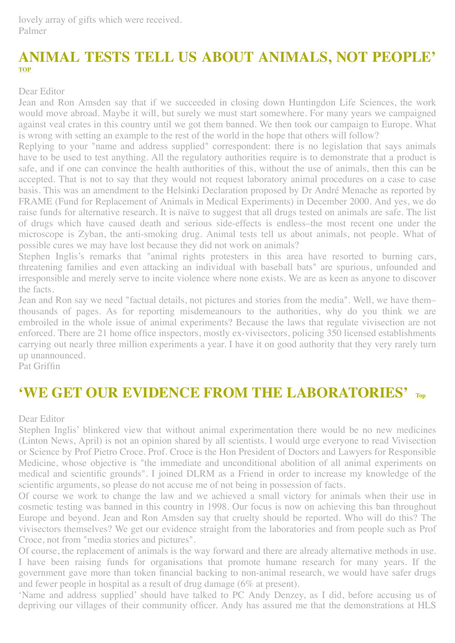lovely array of gifts which were received. Palmer

#### <span id="page-7-0"></span>**ANIMAL TESTS TELL US ABOUT ANIMALS, NOT PEOPLE' [TOP](#page-0-1)**

Dear Editor

Jean and Ron Amsden say that if we succeeded in closing down Huntingdon Life Sciences, the work would move abroad. Maybe it will, but surely we must start somewhere. For many years we campaigned against veal crates in this country until we got them banned. We then took our campaign to Europe. What is wrong with setting an example to the rest of the world in the hope that others will follow?

Replying to your "name and address supplied" correspondent: there is no legislation that says animals have to be used to test anything. All the regulatory authorities require is to demonstrate that a product is safe, and if one can convince the health authorities of this, without the use of animals, then this can be accepted. That is not to say that they would not request laboratory animal procedures on a case to case basis. This was an amendment to the Helsinki Declaration proposed by Dr André Menache as reported by FRAME (Fund for Replacement of Animals in Medical Experiments) in December 2000. And yes, we do raise funds for alternative research. It is naïve to suggest that all drugs tested on animals are safe. The list of drugs which have caused death and serious side-effects is endless–the most recent one under the microscope is Zyban, the anti-smoking drug. Animal tests tell us about animals, not people. What of possible cures we may have lost because they did not work on animals?

Stephen Inglis's remarks that "animal rights protesters in this area have resorted to burning cars, threatening families and even attacking an individual with baseball bats" are spurious, unfounded and irresponsible and merely serve to incite violence where none exists. We are as keen as anyone to discover the facts.

Jean and Ron say we need "factual details, not pictures and stories from the media". Well, we have them– thousands of pages. As for reporting misdemeanours to the authorities, why do you think we are embroiled in the whole issue of animal experiments? Because the laws that regulate vivisection are not enforced. There are 21 home office inspectors, mostly ex-vivisectors, policing 350 licensed establishments carrying out nearly three million experiments a year. I have it on good authority that they very rarely turn up unannounced.

Pat Griffin

#### <span id="page-7-1"></span>**'WE GET OUR EVIDENCE FROM THE LABORATORIES' [Top](#page-0-1)**

Dear Editor

Stephen Inglis' blinkered view that without animal experimentation there would be no new medicines (Linton News, April) is not an opinion shared by all scientists. I would urge everyone to read Vivisection or Science by Prof Pietro Croce. Prof. Croce is the Hon President of Doctors and Lawyers for Responsible Medicine, whose objective is "the immediate and unconditional abolition of all animal experiments on medical and scientific grounds". I joined DLRM as a Friend in order to increase my knowledge of the scientific arguments, so please do not accuse me of not being in possession of facts.

Of course we work to change the law and we achieved a small victory for animals when their use in cosmetic testing was banned in this country in 1998. Our focus is now on achieving this ban throughout Europe and beyond. Jean and Ron Amsden say that cruelty should be reported. Who will do this? The vivisectors themselves? We get our evidence straight from the laboratories and from people such as Prof Croce, not from "media stories and pictures".

Of course, the replacement of animals is the way forward and there are already alternative methods in use. I have been raising funds for organisations that promote humane research for many years. If the government gave more than token financial backing to non-animal research, we would have safer drugs and fewer people in hospital as a result of drug damage (6% at present).

'Name and address supplied' should have talked to PC Andy Denzey, as I did, before accusing us of depriving our villages of their community officer. Andy has assured me that the demonstrations at HLS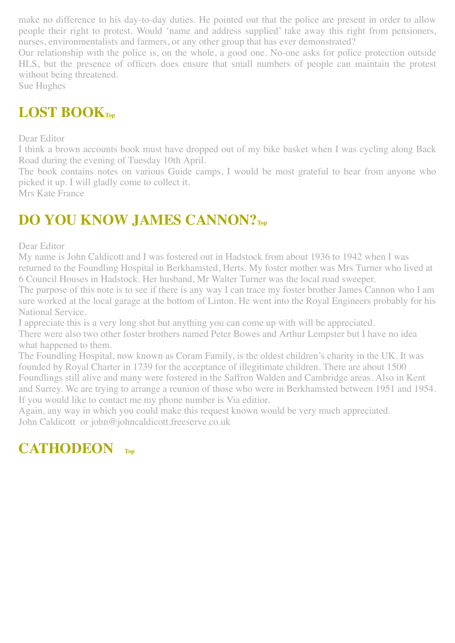make no difference to his day-to-day duties. He pointed out that the police are present in order to allow people their right to protest. Would 'name and address supplied' take away this right from pensioners, nurses, environmentalists and farmers, or any other group that has ever demonstrated?

Our relationship with the police is, on the whole, a good one. No-one asks for police protection outside HLS, but the presence of officers does ensure that small numbers of people can maintain the protest without being threatened.

Sue Hughes

### <span id="page-8-1"></span>**LOST BOOK[Top](#page-0-1)**

Dear Editor

I think a brown accounts book must have dropped out of my bike basket when I was cycling along Back Road during the evening of Tuesday 10th April.

The book contains notes on various Guide camps, I would be most grateful to hear from anyone who picked it up. I will gladly come to collect it.

Mrs Kate France

### <span id="page-8-2"></span>**DO YOU KNOW JAMES CANNON?[Top](#page-0-1)**

Dear Editor

My name is John Caldicott and I was fostered out in Hadstock from about 1936 to 1942 when I was returned to the Foundling Hospital in Berkhamsted, Herts. My foster mother was Mrs Turner who lived at 6 Council Houses in Hadstock. Her husband, Mr Walter Turner was the local road sweeper.

The purpose of this note is to see if there is any way I can trace my foster brother James Cannon who I am sure worked at the local garage at the bottom of Linton. He went into the Royal Engineers probably for his National Service.

I appreciate this is a very long shot but anything you can come up with will be appreciated. There were also two other foster brothers named Peter Bowes and Arthur Lempster but I have no idea what happened to them.

The Foundling Hospital, now known as Coram Family, is the oldest children's charity in the UK. It was founded by Royal Charter in 1739 for the acceptance of illegitimate children. There are about 1500 Foundlings still alive and many were fostered in the Saffron Walden and Cambridge areas. Also in Kent and Surrey. We are trying to arrange a reunion of those who were in Berkhamsted between 1951 and 1954. If you would like to contact me my phone number is Via editior.

Again, any way in which you could make this request known would be very much appreciated. John Caldicott or john@johncaldicott.freeserve.co.uk

#### <span id="page-8-0"></span>**CATHODEON [Top](#page-0-1)**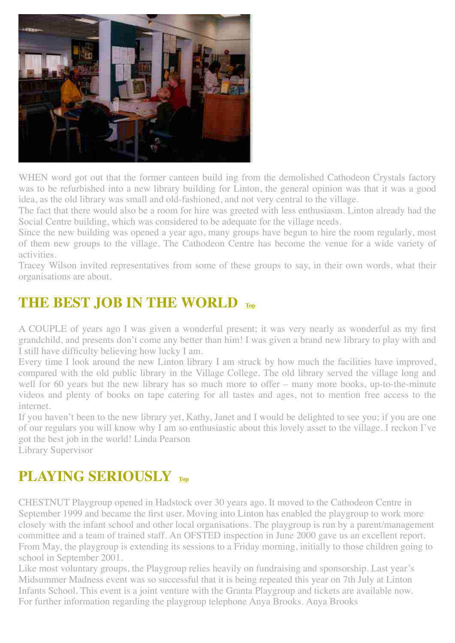

WHEN word got out that the former canteen build ing from the demolished Cathodeon Crystals factory was to be refurbished into a new library building for Linton, the general opinion was that it was a good idea, as the old library was small and old-fashioned, and not very central to the village.

The fact that there would also be a room for hire was greeted with less enthusiasm. Linton already had the Social Centre building, which was considered to be adequate for the village needs.

Since the new building was opened a year ago, many groups have begun to hire the room regularly, most of them new groups to the village. The Cathodeon Centre has become the venue for a wide variety of activities.

Tracey Wilson invited representatives from some of these groups to say, in their own words, what their organisations are about.

#### <span id="page-9-0"></span>**THE BEST JOB IN THE WORLD [Top](#page-0-1)**

A COUPLE of years ago I was given a wonderful present; it was very nearly as wonderful as my first grandchild, and presents don't come any better than him! I was given a brand new library to play with and I still have difficulty believing how lucky I am.

Every time I look around the new Linton library I am struck by how much the facilities have improved, compared with the old public library in the Village College. The old library served the village long and well for 60 years but the new library has so much more to offer – many more books, up-to-the-minute videos and plenty of books on tape catering for all tastes and ages, not to mention free access to the internet.

If you haven't been to the new library yet, Kathy, Janet and I would be delighted to see you; if you are one of our regulars you will know why I am so enthusiastic about this lovely asset to the village. I reckon I've got the best job in the world! Linda Pearson

Library Supervisor

#### <span id="page-9-1"></span>**PLAYING SERIOUSLY [Top](#page-0-1)**

CHESTNUT Playgroup opened in Hadstock over 30 years ago. It moved to the Cathodeon Centre in September 1999 and became the first user. Moving into Linton has enabled the playgroup to work more closely with the infant school and other local organisations. The playgroup is run by a parent/management committee and a team of trained staff. An OFSTED inspection in June 2000 gave us an excellent report. From May, the playgroup is extending its sessions to a Friday morning, initially to those children going to school in September 2001.

Like most voluntary groups, the Playgroup relies heavily on fundraising and sponsorship. Last year's Midsummer Madness event was so successful that it is being repeated this year on 7th July at Linton Infants School. This event is a joint venture with the Granta Playgroup and tickets are available now. For further information regarding the playgroup telephone Anya Brooks. Anya Brooks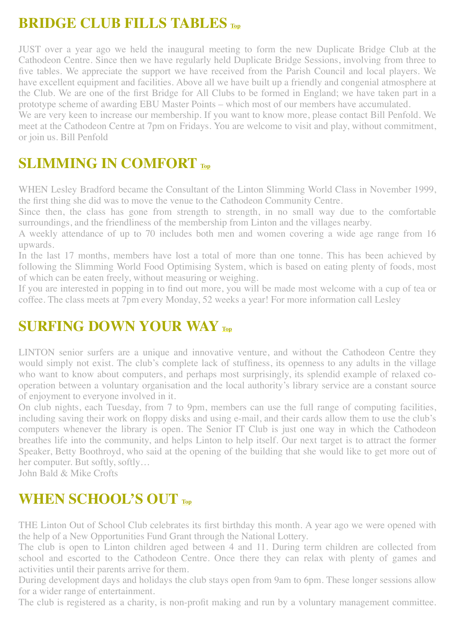#### <span id="page-10-0"></span>**BRIDGE CLUB FILLS TABLES [Top](#page-0-1)**

JUST over a year ago we held the inaugural meeting to form the new Duplicate Bridge Club at the Cathodeon Centre. Since then we have regularly held Duplicate Bridge Sessions, involving from three to five tables. We appreciate the support we have received from the Parish Council and local players. We have excellent equipment and facilities. Above all we have built up a friendly and congenial atmosphere at the Club. We are one of the first Bridge for All Clubs to be formed in England; we have taken part in a prototype scheme of awarding EBU Master Points – which most of our members have accumulated.

We are very keen to increase our membership. If you want to know more, please contact Bill Penfold. We meet at the Cathodeon Centre at 7pm on Fridays. You are welcome to visit and play, without commitment, or join us. Bill Penfold

#### <span id="page-10-1"></span>**SLIMMING IN COMFORT [Top](#page-0-1)**

WHEN Lesley Bradford became the Consultant of the Linton Slimming World Class in November 1999, the first thing she did was to move the venue to the Cathodeon Community Centre.

Since then, the class has gone from strength to strength, in no small way due to the comfortable surroundings, and the friendliness of the membership from Linton and the villages nearby.

A weekly attendance of up to 70 includes both men and women covering a wide age range from 16 upwards.

In the last 17 months, members have lost a total of more than one tonne. This has been achieved by following the Slimming World Food Optimising System, which is based on eating plenty of foods, most of which can be eaten freely, without measuring or weighing.

If you are interested in popping in to find out more, you will be made most welcome with a cup of tea or coffee. The class meets at 7pm every Monday, 52 weeks a year! For more information call Lesley

#### <span id="page-10-2"></span>**SURFING DOWN YOUR WAY [Top](#page-0-1)**

LINTON senior surfers are a unique and innovative venture, and without the Cathodeon Centre they would simply not exist. The club's complete lack of stuffiness, its openness to any adults in the village who want to know about computers, and perhaps most surprisingly, its splendid example of relaxed cooperation between a voluntary organisation and the local authority's library service are a constant source of enjoyment to everyone involved in it.

On club nights, each Tuesday, from 7 to 9pm, members can use the full range of computing facilities, including saving their work on floppy disks and using e-mail, and their cards allow them to use the club's computers whenever the library is open. The Senior IT Club is just one way in which the Cathodeon breathes life into the community, and helps Linton to help itself. Our next target is to attract the former Speaker, Betty Boothroyd, who said at the opening of the building that she would like to get more out of her computer. But softly, softly…

John Bald & Mike Crofts

#### **WHEN SCHOOL'S OUT [Top](#page-0-1)**

THE Linton Out of School Club celebrates its first birthday this month. A year ago we were opened with the help of a New Opportunities Fund Grant through the National Lottery.

The club is open to Linton children aged between 4 and 11. During term children are collected from school and escorted to the Cathodeon Centre. Once there they can relax with plenty of games and activities until their parents arrive for them.

During development days and holidays the club stays open from 9am to 6pm. These longer sessions allow for a wider range of entertainment.

The club is registered as a charity, is non-profit making and run by a voluntary management committee.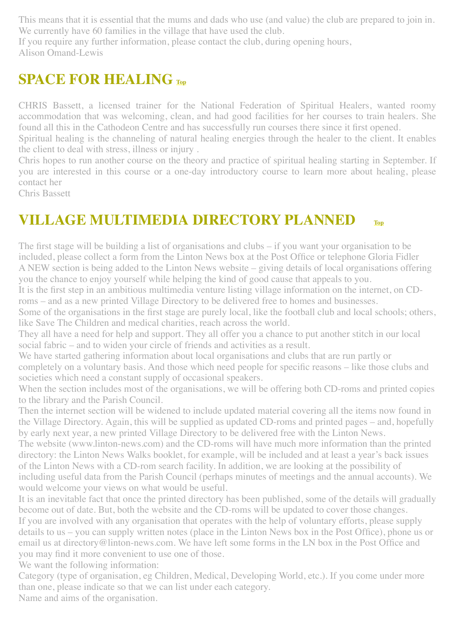This means that it is essential that the mums and dads who use (and value) the club are prepared to join in. We currently have 60 families in the village that have used the club.

If you require any further information, please contact the club, during opening hours, Alison Omand-Lewis

#### <span id="page-11-0"></span>**SPACE FOR HEALING [Top](#page-0-1)**

CHRIS Bassett, a licensed trainer for the National Federation of Spiritual Healers, wanted roomy accommodation that was welcoming, clean, and had good facilities for her courses to train healers. She found all this in the Cathodeon Centre and has successfully run courses there since it first opened.

Spiritual healing is the channeling of natural healing energies through the healer to the client. It enables the client to deal with stress, illness or injury .

Chris hopes to run another course on the theory and practice of spiritual healing starting in September. If you are interested in this course or a one-day introductory course to learn more about healing, please contact her

Chris Bassett

#### <span id="page-11-1"></span>**VILLAGE MULTIMEDIA DIRECTORY PLANNED [Top](#page-0-1)**

The first stage will be building a list of organisations and clubs – if you want your organisation to be included, please collect a form from the Linton News box at the Post Office or telephone Gloria Fidler A NEW section is being added to the Linton News website – giving details of local organisations offering you the chance to enjoy yourself while helping the kind of good cause that appeals to you.

It is the first step in an ambitious multimedia venture listing village information on the internet, on CDroms – and as a new printed Village Directory to be delivered free to homes and businesses.

Some of the organisations in the first stage are purely local, like the football club and local schools; others, like Save The Children and medical charities, reach across the world.

They all have a need for help and support. They all offer you a chance to put another stitch in our local social fabric – and to widen your circle of friends and activities as a result.

We have started gathering information about local organisations and clubs that are run partly or completely on a voluntary basis. And those which need people for specific reasons – like those clubs and societies which need a constant supply of occasional speakers.

When the section includes most of the organisations, we will be offering both CD-roms and printed copies to the library and the Parish Council.

Then the internet section will be widened to include updated material covering all the items now found in the Village Directory. Again, this will be supplied as updated CD-roms and printed pages – and, hopefully by early next year, a new printed Village Directory to be delivered free with the Linton News.

The website (www.linton-news.com) and the CD-roms will have much more information than the printed directory: the Linton News Walks booklet, for example, will be included and at least a year's back issues of the Linton News with a CD-rom search facility. In addition, we are looking at the possibility of including useful data from the Parish Council (perhaps minutes of meetings and the annual accounts). We would welcome your views on what would be useful.

It is an inevitable fact that once the printed directory has been published, some of the details will gradually become out of date. But, both the website and the CD-roms will be updated to cover those changes. If you are involved with any organisation that operates with the help of voluntary efforts, please supply details to us – you can supply written notes (place in the Linton News box in the Post Office), phone us or email us at directory@linton-news.com. We have left some forms in the LN box in the Post Office and you may find it more convenient to use one of those.

We want the following information:

Category (type of organisation, eg Children, Medical, Developing World, etc.). If you come under more than one, please indicate so that we can list under each category.

Name and aims of the organisation.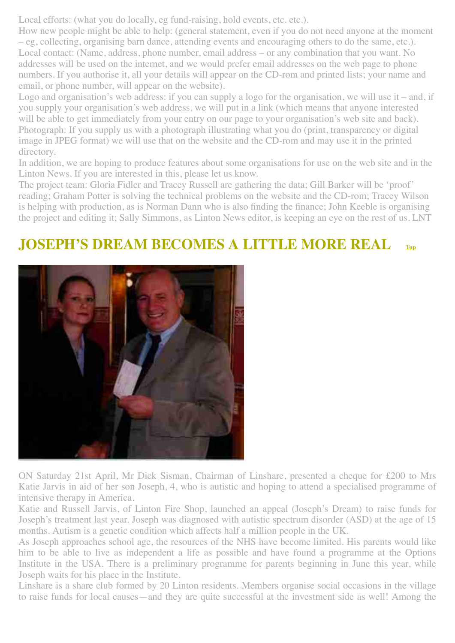Local efforts: (what you do locally, eg fund-raising, hold events, etc. etc.).

How new people might be able to help: (general statement, even if you do not need anyone at the moment – eg, collecting, organising barn dance, attending events and encouraging others to do the same, etc.). Local contact: (Name, address, phone number, email address – or any combination that you want. No addresses will be used on the internet, and we would prefer email addresses on the web page to phone numbers. If you authorise it, all your details will appear on the CD-rom and printed lists; your name and email, or phone number, will appear on the website).

Logo and organisation's web address: if you can supply a logo for the organisation, we will use it – and, if you supply your organisation's web address, we will put in a link (which means that anyone interested will be able to get immediately from your entry on our page to your organisation's web site and back). Photograph: If you supply us with a photograph illustrating what you do (print, transparency or digital image in JPEG format) we will use that on the website and the CD-rom and may use it in the printed directory.

In addition, we are hoping to produce features about some organisations for use on the web site and in the Linton News. If you are interested in this, please let us know.

The project team: Gloria Fidler and Tracey Russell are gathering the data; Gill Barker will be 'proof' reading; Graham Potter is solving the technical problems on the website and the CD-rom; Tracey Wilson is helping with production, as is Norman Dann who is also finding the finance; John Keeble is organising the project and editing it; Sally Simmons, as Linton News editor, is keeping an eye on the rest of us. LNT

#### **JOSEPH'S DREAM BECOMES A LITTLE MORE REAL [Top](#page-0-1)**



ON Saturday 21st April, Mr Dick Sisman, Chairman of Linshare, presented a cheque for £200 to Mrs Katie Jarvis in aid of her son Joseph, 4, who is autistic and hoping to attend a specialised programme of intensive therapy in America.

Katie and Russell Jarvis, of Linton Fire Shop, launched an appeal (Joseph's Dream) to raise funds for Joseph's treatment last year. Joseph was diagnosed with autistic spectrum disorder (ASD) at the age of 15 months. Autism is a genetic condition which affects half a million people in the UK.

As Joseph approaches school age, the resources of the NHS have become limited. His parents would like him to be able to live as independent a life as possible and have found a programme at the Options Institute in the USA. There is a preliminary programme for parents beginning in June this year, while Joseph waits for his place in the Institute.

Linshare is a share club formed by 20 Linton residents. Members organise social occasions in the village to raise funds for local causes—and they are quite successful at the investment side as well! Among the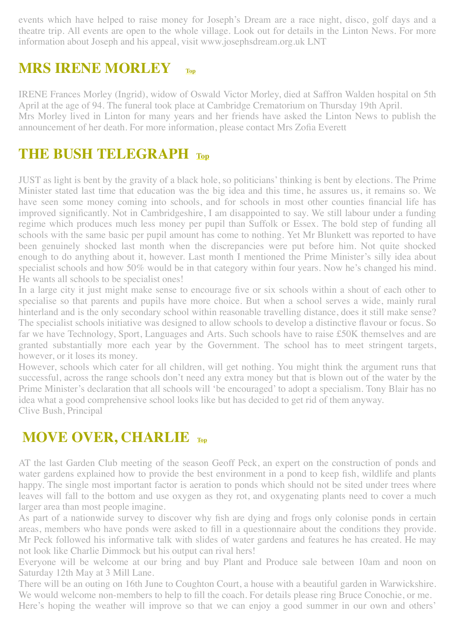events which have helped to raise money for Joseph's Dream are a race night, disco, golf days and a theatre trip. All events are open to the whole village. Look out for details in the Linton News. For more information about Joseph and his appeal, visit www.josephsdream.org.uk LNT

#### <span id="page-13-0"></span>**MRS IRENE MORLEY [Top](#page-0-1)**

IRENE Frances Morley (Ingrid), widow of Oswald Victor Morley, died at Saffron Walden hospital on 5th April at the age of 94. The funeral took place at Cambridge Crematorium on Thursday 19th April. Mrs Morley lived in Linton for many years and her friends have asked the Linton News to publish the announcement of her death. For more information, please contact Mrs Zofia Everett

#### <span id="page-13-1"></span>**THE BUSH TELEGRAPH [Top](#page-0-1)**

JUST as light is bent by the gravity of a black hole, so politicians' thinking is bent by elections. The Prime Minister stated last time that education was the big idea and this time, he assures us, it remains so. We have seen some money coming into schools, and for schools in most other counties financial life has improved significantly. Not in Cambridgeshire, I am disappointed to say. We still labour under a funding regime which produces much less money per pupil than Suffolk or Essex. The bold step of funding all schools with the same basic per pupil amount has come to nothing. Yet Mr Blunkett was reported to have been genuinely shocked last month when the discrepancies were put before him. Not quite shocked enough to do anything about it, however. Last month I mentioned the Prime Minister's silly idea about specialist schools and how 50% would be in that category within four years. Now he's changed his mind. He wants all schools to be specialist ones!

In a large city it just might make sense to encourage five or six schools within a shout of each other to specialise so that parents and pupils have more choice. But when a school serves a wide, mainly rural hinterland and is the only secondary school within reasonable travelling distance, does it still make sense? The specialist schools initiative was designed to allow schools to develop a distinctive flavour or focus. So far we have Technology, Sport, Languages and Arts. Such schools have to raise £50K themselves and are granted substantially more each year by the Government. The school has to meet stringent targets, however, or it loses its money.

However, schools which cater for all children, will get nothing. You might think the argument runs that successful, across the range schools don't need any extra money but that is blown out of the water by the Prime Minister's declaration that all schools will 'be encouraged' to adopt a specialism. Tony Blair has no idea what a good comprehensive school looks like but has decided to get rid of them anyway. Clive Bush, Principal

#### <span id="page-13-2"></span>**MOVE OVER, CHARLIE TOP**

AT the last Garden Club meeting of the season Geoff Peck, an expert on the construction of ponds and water gardens explained how to provide the best environment in a pond to keep fish, wildlife and plants happy. The single most important factor is aeration to ponds which should not be sited under trees where leaves will fall to the bottom and use oxygen as they rot, and oxygenating plants need to cover a much larger area than most people imagine.

As part of a nationwide survey to discover why fish are dying and frogs only colonise ponds in certain areas, members who have ponds were asked to fill in a questionnaire about the conditions they provide. Mr Peck followed his informative talk with slides of water gardens and features he has created. He may not look like Charlie Dimmock but his output can rival hers!

Everyone will be welcome at our bring and buy Plant and Produce sale between 10am and noon on Saturday 12th May at 3 Mill Lane.

There will be an outing on 16th June to Coughton Court, a house with a beautiful garden in Warwickshire. We would welcome non-members to help to fill the coach. For details please ring Bruce Conochie, or me. Here's hoping the weather will improve so that we can enjoy a good summer in our own and others'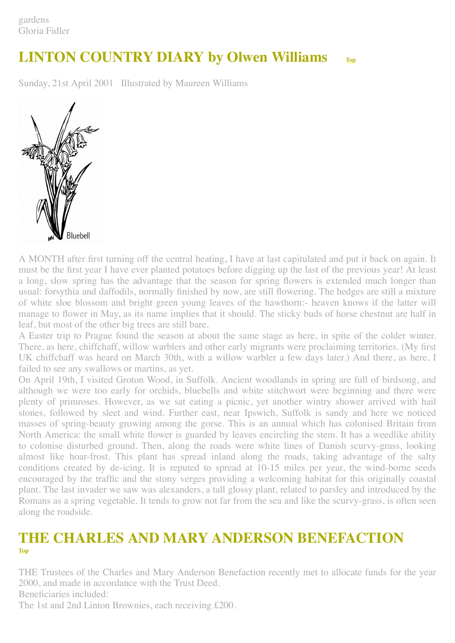### <span id="page-14-0"></span>**LINTON COUNTRY DIARY by Olwen Williams [Top](#page-0-1)**

Sunday, 21st April 2001 Illustrated by Maureen Williams



A MONTH after first turning off the central heating, I have at last capitulated and put it back on again. It must be the first year I have ever planted potatoes before digging up the last of the previous year! At least a long, slow spring has the advantage that the season for spring flowers is extended much longer than usual: forsythia and daffodils, normally finished by now, are still flowering. The hedges are still a mixture of white sloe blossom and bright green young leaves of the hawthorn:- heaven knows if the latter will manage to flower in May, as its name implies that it should. The sticky buds of horse chestnut are half in leaf, but most of the other big trees are still bare.

A Easter trip to Prague found the season at about the same stage as here, in spite of the colder winter. There, as here, chiffchaff, willow warblers and other early migrants were proclaiming territories. (My first UK chiffchaff was heard on March 30th, with a willow warbler a few days later.) And there, as here, I failed to see any swallows or martins, as yet.

On April 19th, I visited Groton Wood, in Suffolk. Ancient woodlands in spring are full of birdsong, and although we were too early for orchids, bluebells and white stitchwort were beginning and there were plenty of primroses. However, as we sat eating a picnic, yet another wintry shower arrived with hail stones, followed by sleet and wind. Further east, near Ipswich, Suffolk is sandy and here we noticed masses of spring-beauty growing among the gorse. This is an annual which has colonised Britain from North America: the small white flower is guarded by leaves encircling the stem. It has a weedlike ability to colonise disturbed ground. Then, along the roads were white lines of Danish scurvy-grass, looking almost like hoar-frost. This plant has spread inland along the roads, taking advantage of the salty conditions created by de-icing. It is reputed to spread at 10-15 miles per year, the wind-borne seeds encouraged by the traffic and the stony verges providing a welcoming habitat for this originally coastal plant. The last invader we saw was alexanders, a tall glossy plant, related to parsley and introduced by the Romans as a spring vegetable. It tends to grow not far from the sea and like the scurvy-grass, is often seen along the roadside.

# <span id="page-14-1"></span>**[T](#page-0-1)HE CHARLES AND MARY ANDERSON BENEFACTION [Top](#page-0-1)**

THE Trustees of the Charles and Mary Anderson Benefaction recently met to allocate funds for the year 2000, and made in accordance with the Trust Deed.

Beneficiaries included:

The 1st and 2nd Linton Brownies, each receiving £200.